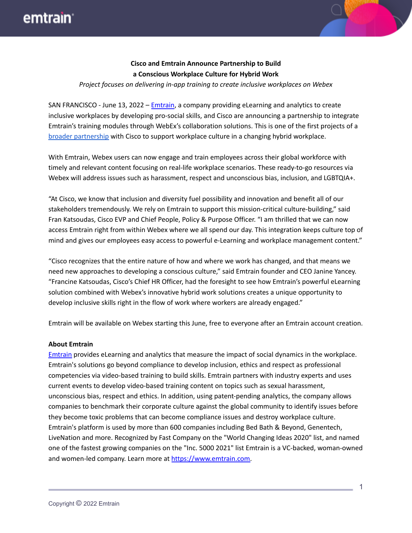## emtrain<sup>®</sup>



*Project focuses on delivering in-app training to create inclusive workplaces on Webex*

SAN FRANCISCO - June 13, 2022 – [Emtrain](https://emtrain.com/), a company providing eLearning and analytics to create inclusive workplaces by developing pro-social skills, and Cisco are announcing a partnership to integrate Emtrain's training modules through WebEx's collaboration solutions. This is one of the first projects of a broader [partnership](https://emtrain.com/blog/workplace-culture/training-webex-app/) with Cisco to support workplace culture in a changing hybrid workplace.

With Emtrain, Webex users can now engage and train employees across their global workforce with timely and relevant content focusing on real-life workplace scenarios. These ready-to-go resources via Webex will address issues such as harassment, respect and unconscious bias, inclusion, and LGBTQIA+.

"At Cisco, we know that inclusion and diversity fuel possibility and innovation and benefit all of our stakeholders tremendously. We rely on Emtrain to support this mission-critical culture-building," said Fran Katsoudas, Cisco EVP and Chief People, Policy & Purpose Officer. "I am thrilled that we can now access Emtrain right from within Webex where we all spend our day. This integration keeps culture top of mind and gives our employees easy access to powerful e-Learning and workplace management content."

"Cisco recognizes that the entire nature of how and where we work has changed, and that means we need new approaches to developing a conscious culture," said Emtrain founder and CEO Janine Yancey. "Francine Katsoudas, Cisco's Chief HR Officer, had the foresight to see how Emtrain's powerful eLearning solution combined with Webex's innovative hybrid work solutions creates a unique opportunity to develop inclusive skills right in the flow of work where workers are already engaged."

Emtrain will be available on Webex starting this June, free to everyone after an Emtrain account creation.

#### **About Emtrain**

[Emtrain](https://emtrain.com/) provides eLearning and analytics that measure the impact of social dynamics in the workplace. Emtrain's solutions go beyond compliance to develop inclusion, ethics and respect as professional competencies via video-based training to build skills. Emtrain partners with industry experts and uses current events to develop video-based training content on topics such as sexual harassment, unconscious bias, respect and ethics. In addition, using patent-pending analytics, the company allows companies to benchmark their corporate culture against the global community to identify issues before they become toxic problems that can become compliance issues and destroy workplace culture. Emtrain's platform is used by more than 600 companies including Bed Bath & Beyond, Genentech, LiveNation and more. Recognized by Fast Company on the "World Changing Ideas 2020" list, and named one of the fastest growing companies on the "Inc. 5000 2021" list Emtrain is a VC-backed, woman-owned and women-led company. Learn more at [https://www.emtrain.com.](https://c212.net/c/link/?t=0&l=en&o=3457537-1&h=809587980&u=https%3A%2F%2Fwww.emtrain.com%2F&a=https%3A%2F%2Fwww.emtrain.com)